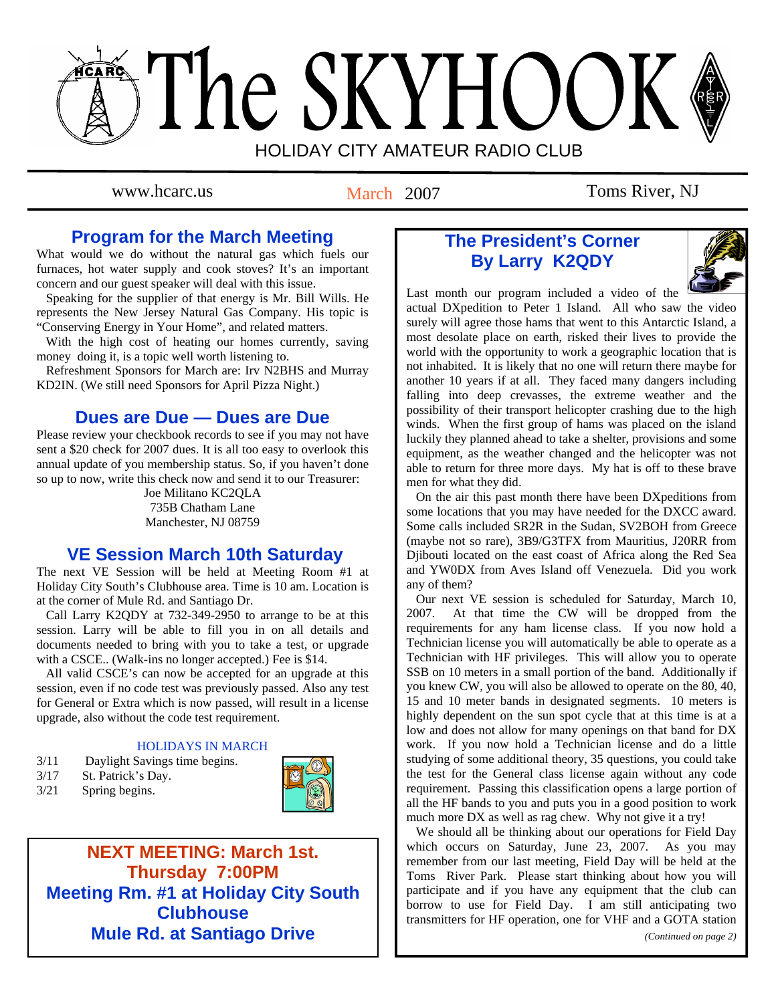# The SKYHOOK HOLIDAY CITY AMATEUR RADIO CLUB

March 2007

# www.hcarc.us March 2007 Toms River, NJ

# **Program for the March Meeting**

What would we do without the natural gas which fuels our furnaces, hot water supply and cook stoves? It's an important concern and our guest speaker will deal with this issue.

 Speaking for the supplier of that energy is Mr. Bill Wills. He represents the New Jersey Natural Gas Company. His topic is "Conserving Energy in Your Home", and related matters.

 With the high cost of heating our homes currently, saving money doing it, is a topic well worth listening to.

 Refreshment Sponsors for March are: Irv N2BHS and Murray KD2IN. (We still need Sponsors for April Pizza Night.)

# **Dues are Due — Dues are Due**

Please review your checkbook records to see if you may not have sent a \$20 check for 2007 dues. It is all too easy to overlook this annual update of you membership status. So, if you haven't done so up to now, write this check now and send it to our Treasurer:

> Joe Militano KC2QLA 735B Chatham Lane Manchester, NJ 08759

# **VE Session March 10th Saturday**

The next VE Session will be held at Meeting Room #1 at Holiday City South's Clubhouse area. Time is 10 am. Location is at the corner of Mule Rd. and Santiago Dr.

 Call Larry K2QDY at 732-349-2950 to arrange to be at this session. Larry will be able to fill you in on all details and documents needed to bring with you to take a test, or upgrade with a CSCE.. (Walk-ins no longer accepted.) Fee is \$14.

 All valid CSCE's can now be accepted for an upgrade at this session, even if no code test was previously passed. Also any test for General or Extra which is now passed, will result in a license upgrade, also without the code test requirement.

### HOLIDAYS IN MARCH

- 3/11 Daylight Savings time begins.
- 3/17 St. Patrick's Day.
- 3/21 Spring begins.



**NEXT MEETING: March 1st. Thursday 7:00PM Meeting Rm. #1 at Holiday City South Clubhouse Mule Rd. at Santiago Drive** 

# **The President's Corner By Larry K2QDY**



Last month our program included a video of the actual DXpedition to Peter 1 Island. All who saw the video surely will agree those hams that went to this Antarctic Island, a most desolate place on earth, risked their lives to provide the world with the opportunity to work a geographic location that is not inhabited. It is likely that no one will return there maybe for another 10 years if at all. They faced many dangers including falling into deep crevasses, the extreme weather and the possibility of their transport helicopter crashing due to the high winds. When the first group of hams was placed on the island luckily they planned ahead to take a shelter, provisions and some equipment, as the weather changed and the helicopter was not able to return for three more days. My hat is off to these brave men for what they did.

 On the air this past month there have been DXpeditions from some locations that you may have needed for the DXCC award. Some calls included SR2R in the Sudan, SV2BOH from Greece (maybe not so rare), 3B9/G3TFX from Mauritius, J20RR from Djibouti located on the east coast of Africa along the Red Sea and YW0DX from Aves Island off Venezuela. Did you work any of them?

 Our next VE session is scheduled for Saturday, March 10, 2007. At that time the CW will be dropped from the requirements for any ham license class. If you now hold a Technician license you will automatically be able to operate as a Technician with HF privileges. This will allow you to operate SSB on 10 meters in a small portion of the band. Additionally if you knew CW, you will also be allowed to operate on the 80, 40, 15 and 10 meter bands in designated segments. 10 meters is highly dependent on the sun spot cycle that at this time is at a low and does not allow for many openings on that band for DX work. If you now hold a Technician license and do a little studying of some additional theory, 35 questions, you could take the test for the General class license again without any code requirement. Passing this classification opens a large portion of all the HF bands to you and puts you in a good position to work much more DX as well as rag chew. Why not give it a try!

 We should all be thinking about our operations for Field Day which occurs on Saturday, June 23, 2007. As you may remember from our last meeting, Field Day will be held at the Toms River Park. Please start thinking about how you will participate and if you have any equipment that the club can borrow to use for Field Day. I am still anticipating two transmitters for HF operation, one for VHF and a GOTA station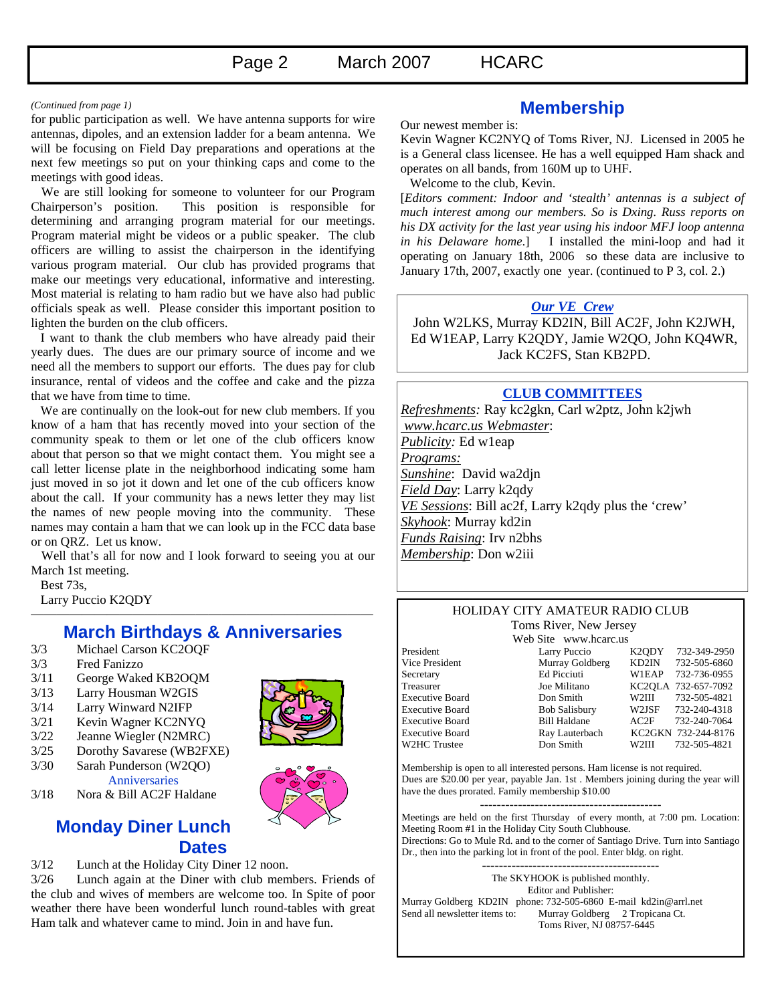(Continued from page 1) **Membership**<br>for public participation as well. We have antenna supports for wire  $\sum_{n=1}^{\infty}$  **Membership** antennas, dipoles, and an extension ladder for a beam antenna. We will be focusing on Field Day preparations and operations at the next few meetings so put on your thinking caps and come to the meetings with good ideas.

 We are still looking for someone to volunteer for our Program Chairperson's position. This position is responsible for determining and arranging program material for our meetings. Program material might be videos or a public speaker. The club officers are willing to assist the chairperson in the identifying various program material. Our club has provided programs that make our meetings very educational, informative and interesting. Most material is relating to ham radio but we have also had public officials speak as well. Please consider this important position to lighten the burden on the club officers.

 I want to thank the club members who have already paid their yearly dues. The dues are our primary source of income and we need all the members to support our efforts. The dues pay for club insurance, rental of videos and the coffee and cake and the pizza that we have from time to time.

 We are continually on the look-out for new club members. If you know of a ham that has recently moved into your section of the community speak to them or let one of the club officers know about that person so that we might contact them. You might see a call letter license plate in the neighborhood indicating some ham just moved in so jot it down and let one of the cub officers know about the call. If your community has a news letter they may list the names of new people moving into the community. These names may contain a ham that we can look up in the FCC data base or on QRZ. Let us know.

 Well that's all for now and I look forward to seeing you at our March 1st meeting.

Best 73s,

Larry Puccio K2QDY

## ——————————————————————————— **March Birthdays & Anniversaries**

- 3/3 Michael Carson KC2OQF
- 3/3 Fred Fanizzo
- 3/11 George Waked KB2OQM
- 3/13 Larry Housman W2GIS
- 3/14 Larry Winward N2IFP
- 3/21 Kevin Wagner KC2NYQ
- 3/22 Jeanne Wiegler (N2MRC)
- 3/25 Dorothy Savarese (WB2FXE) 3/30 Sarah Punderson (W2QO)
- Anniversaries



3/18 Nora & Bill AC2F Haldane

# **Monday Diner Lunch Dates**

3/12 Lunch at the Holiday City Diner 12 noon.

3/26 Lunch again at the Diner with club members. Friends of the club and wives of members are welcome too. In Spite of poor weather there have been wonderful lunch round-tables with great Ham talk and whatever came to mind. Join in and have fun.

Our newest member is:

Kevin Wagner KC2NYQ of Toms River, NJ. Licensed in 2005 he is a General class licensee. He has a well equipped Ham shack and operates on all bands, from 160M up to UHF.

Welcome to the club, Kevin.

[*Editors comment: Indoor and 'stealth' antennas is a subject of much interest among our members. So is Dxing. Russ reports on his DX activity for the last year using his indoor MFJ loop antenna in his Delaware home*.] I installed the mini-loop and had it operating on January 18th, 2006 so these data are inclusive to January 17th, 2007, exactly one year. (continued to P 3, col. 2.)

## *Our VE Crew*

 John W2LKS, Murray KD2IN, Bill AC2F, John K2JWH, Ed W1EAP, Larry K2QDY, Jamie W2QO, John KQ4WR, Jack KC2FS, Stan KB2PD.

## **CLUB COMMITTEES**

*Refreshments:* Ray kc2gkn, Carl w2ptz, John k2jwh  *www.hcarc.us Webmaster*: *Publicity:* Ed w1eap *Programs: Sunshine*: David wa2djn *Field Day*: Larry k2qdy *VE Sessions*: Bill ac2f, Larry k2qdy plus the 'crew' *Skyhook*: Murray kd2in *Funds Raising*: Irv n2bhs *Membership*: Don w2iii

#### HOLIDAY CITY AMATEUR RADIO CLUB Toms River, New Jersey

Executive Board W2HC Trustee Don Smith

Web Site www.hcarc.us President Larry Puccio K2QDY 732-349-2950<br>Vice President Murray Goldberg KD2IN 732-505-6860 Murray Goldberg KD2IN 732-505-6860 Secretary Ed Picciuti W1EAP 732-736-0955 Treasurer Joe Militano KC2OLA 732-657-7092 Executive Board **Don Smith** W2III 732-505-4821<br>Executive Board Bob Salisbury W2JSF 732-240-4318 Executive Board Bill Haldane AC2F 732-240-7064 Executive Board Ray Lauterbach KC2GKN 732-244-8176<br>W2HC Trustee Don Smith W2III 732-505-4821

Membership is open to all interested persons. Ham license is not required. Dues are \$20.00 per year, payable Jan. 1st . Members joining during the year will have the dues prorated. Family membership \$10.00

------------------------------------------- Meetings are held on the first Thursday of every month, at 7:00 pm. Location: Meeting Room #1 in the Holiday City South Clubhouse. Directions: Go to Mule Rd. and to the corner of Santiago Drive. Turn into Santiago Dr., then into the parking lot in front of the pool. Enter bldg. on right.

------------------------------------------ The SKYHOOK is published monthly. Editor and Publisher: Murray Goldberg KD2IN phone: 732-505-6860 E-mail kd2in@arrl.net<br>Send all newsletter items to: Murray Goldberg 2 Tropicana Ct. Murray Goldberg 2 Tropicana Ct. Toms River, NJ 08757-6445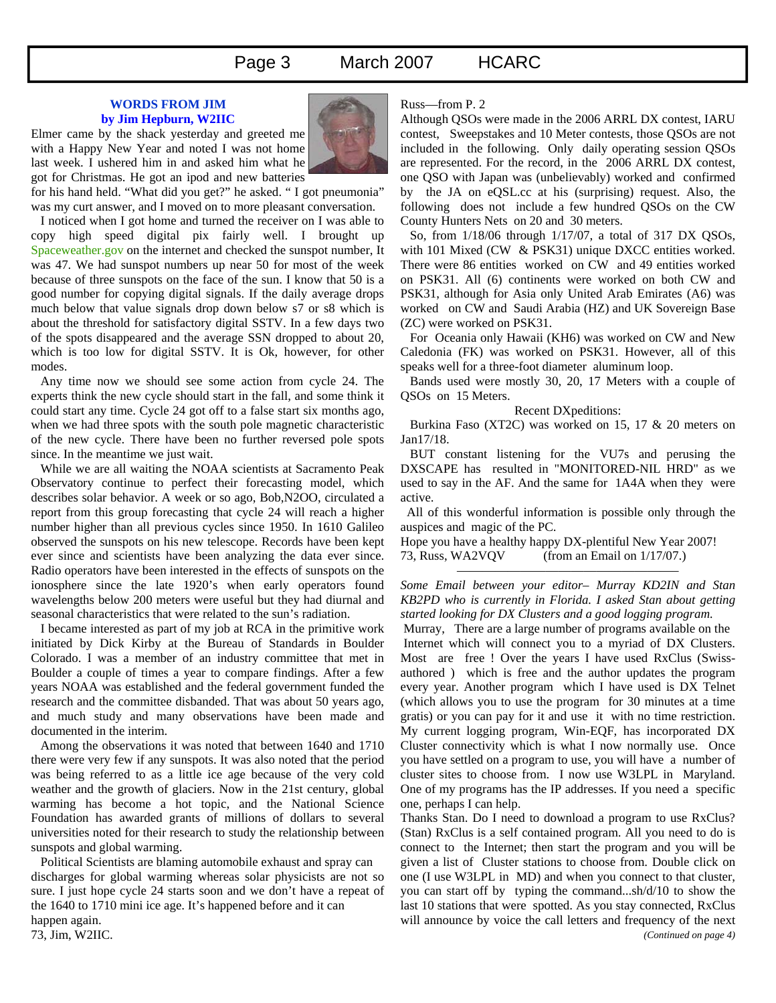Page 3 March 2007 HCARC

#### **WORDS FROM JIM by Jim Hepburn, W2IIC**

Elmer came by the shack yesterday and greeted me with a Happy New Year and noted I was not home last week. I ushered him in and asked him what he got for Christmas. He got an ipod and new batteries



for his hand held. "What did you get?" he asked. " I got pneumonia" was my curt answer, and I moved on to more pleasant conversation.

 I noticed when I got home and turned the receiver on I was able to copy high speed digital pix fairly well. I brought up Spaceweather.gov on the internet and checked the sunspot number, It was 47. We had sunspot numbers up near 50 for most of the week because of three sunspots on the face of the sun. I know that 50 is a good number for copying digital signals. If the daily average drops much below that value signals drop down below s7 or s8 which is about the threshold for satisfactory digital SSTV. In a few days two of the spots disappeared and the average SSN dropped to about 20, which is too low for digital SSTV. It is Ok, however, for other modes.

 Any time now we should see some action from cycle 24. The experts think the new cycle should start in the fall, and some think it could start any time. Cycle 24 got off to a false start six months ago, when we had three spots with the south pole magnetic characteristic of the new cycle. There have been no further reversed pole spots since. In the meantime we just wait.

 While we are all waiting the NOAA scientists at Sacramento Peak Observatory continue to perfect their forecasting model, which describes solar behavior. A week or so ago, Bob,N2OO, circulated a report from this group forecasting that cycle 24 will reach a higher number higher than all previous cycles since 1950. In 1610 Galileo observed the sunspots on his new telescope. Records have been kept ever since and scientists have been analyzing the data ever since. Radio operators have been interested in the effects of sunspots on the ionosphere since the late 1920's when early operators found wavelengths below 200 meters were useful but they had diurnal and seasonal characteristics that were related to the sun's radiation.

 I became interested as part of my job at RCA in the primitive work initiated by Dick Kirby at the Bureau of Standards in Boulder Colorado. I was a member of an industry committee that met in Boulder a couple of times a year to compare findings. After a few years NOAA was established and the federal government funded the research and the committee disbanded. That was about 50 years ago, and much study and many observations have been made and documented in the interim.

 Among the observations it was noted that between 1640 and 1710 there were very few if any sunspots. It was also noted that the period was being referred to as a little ice age because of the very cold weather and the growth of glaciers. Now in the 21st century, global warming has become a hot topic, and the National Science Foundation has awarded grants of millions of dollars to several universities noted for their research to study the relationship between sunspots and global warming.

 Political Scientists are blaming automobile exhaust and spray can discharges for global warming whereas solar physicists are not so sure. I just hope cycle 24 starts soon and we don't have a repeat of the 1640 to 1710 mini ice age. It's happened before and it can happen again. 73, Jim, W2IIC.

#### Russ—from P. 2

Although QSOs were made in the 2006 ARRL DX contest, IARU contest, Sweepstakes and 10 Meter contests, those QSOs are not included in the following. Only daily operating session QSOs are represented. For the record, in the 2006 ARRL DX contest, one QSO with Japan was (unbelievably) worked and confirmed by the JA on eQSL.cc at his (surprising) request. Also, the following does not include a few hundred QSOs on the CW County Hunters Nets on 20 and 30 meters.

 So, from 1/18/06 through 1/17/07, a total of 317 DX QSOs, with 101 Mixed (CW & PSK31) unique DXCC entities worked. There were 86 entities worked on CW and 49 entities worked on PSK31. All (6) continents were worked on both CW and PSK31, although for Asia only United Arab Emirates (A6) was worked on CW and Saudi Arabia (HZ) and UK Sovereign Base (ZC) were worked on PSK31.

 For Oceania only Hawaii (KH6) was worked on CW and New Caledonia (FK) was worked on PSK31. However, all of this speaks well for a three-foot diameter aluminum loop.

 Bands used were mostly 30, 20, 17 Meters with a couple of QSOs on 15 Meters.

#### Recent DXpeditions:

 Burkina Faso (XT2C) was worked on 15, 17 & 20 meters on Jan17/18.

 BUT constant listening for the VU7s and perusing the DXSCAPE has resulted in "MONITORED-NIL HRD" as we used to say in the AF. And the same for 1A4A when they were active.

 All of this wonderful information is possible only through the auspices and magic of the PC.

Hope you have a healthy happy DX-plentiful New Year 2007! 73, Russ, WA2VQV (from an Email on 1/17/07.)

### *Some Email between your editor– Murray KD2IN and Stan KB2PD who is currently in Florida. I asked Stan about getting started looking for DX Clusters and a good logging program.*

—————————————————–

 Murray, There are a large number of programs available on the Internet which will connect you to a myriad of DX Clusters. Most are free ! Over the years I have used RxClus (Swissauthored ) which is free and the author updates the program every year. Another program which I have used is DX Telnet (which allows you to use the program for 30 minutes at a time gratis) or you can pay for it and use it with no time restriction. My current logging program, Win-EQF, has incorporated DX Cluster connectivity which is what I now normally use. Once you have settled on a program to use, you will have a number of cluster sites to choose from. I now use W3LPL in Maryland. One of my programs has the IP addresses. If you need a specific one, perhaps I can help.

Thanks Stan. Do I need to download a program to use RxClus? (Stan) RxClus is a self contained program. All you need to do is connect to the Internet; then start the program and you will be given a list of Cluster stations to choose from. Double click on one (I use W3LPL in MD) and when you connect to that cluster, you can start off by typing the command...sh/d/10 to show the last 10 stations that were spotted. As you stay connected, RxClus will announce by voice the call letters and frequency of the next *(Continued on page 4)*